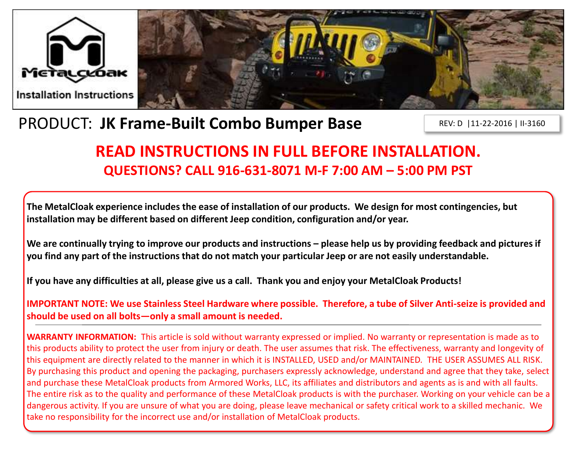



# PRODUCT: **JK Frame-Built Combo Bumper Base**

REV: D |11-22-2016 | II-3160

# **READ INSTRUCTIONS IN FULL BEFORE INSTALLATION. QUESTIONS? CALL 916-631-8071 M-F 7:00 AM – 5:00 PM PST**

**The MetalCloak experience includes the ease of installation of our products. We design for most contingencies, but installation may be different based on different Jeep condition, configuration and/or year.**

We are continually trying to improve our products and instructions – please help us by providing feedback and pictures if **you find any part of the instructions that do not match your particular Jeep or are not easily understandable.** 

**If you have any difficulties at all, please give us a call. Thank you and enjoy your MetalCloak Products!** 

**IMPORTANT NOTE: We use Stainless Steel Hardware where possible. Therefore, a tube of Silver Anti-seize is provided and should be used on all bolts—only a small amount is needed.**

**WARRANTY INFORMATION:** This article is sold without warranty expressed or implied. No warranty or representation is made as to this products ability to protect the user from injury or death. The user assumes that risk. The effectiveness, warranty and longevity of this equipment are directly related to the manner in which it is INSTALLED, USED and/or MAINTAINED. THE USER ASSUMES ALL RISK. By purchasing this product and opening the packaging, purchasers expressly acknowledge, understand and agree that they take, select and purchase these MetalCloak products from Armored Works, LLC, its affiliates and distributors and agents as is and with all faults. The entire risk as to the quality and performance of these MetalCloak products is with the purchaser. Working on your vehicle can be a dangerous activity. If you are unsure of what you are doing, please leave mechanical or safety critical work to a skilled mechanic. We take no responsibility for the incorrect use and/or installation of MetalCloak products.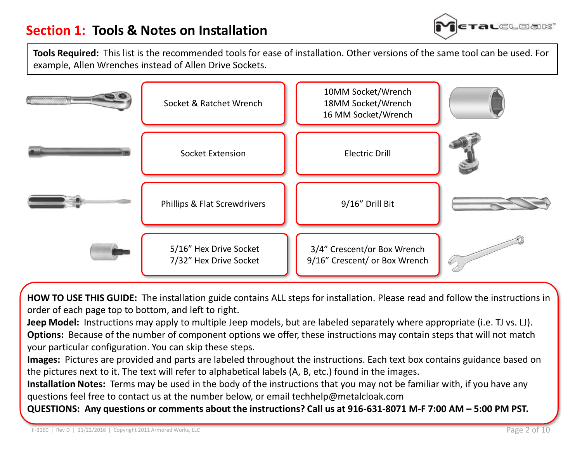

**Tools Required:** This list is the recommended tools for ease of installation. Other versions of the same tool can be used. For example, Allen Wrenches instead of Allen Drive Sockets.



**HOW TO USE THIS GUIDE:** The installation guide contains ALL steps for installation. Please read and follow the instructions in order of each page top to bottom, and left to right.

**Jeep Model:** Instructions may apply to multiple Jeep models, but are labeled separately where appropriate (i.e. TJ vs. LJ). **Options:** Because of the number of component options we offer, these instructions may contain steps that will not match your particular configuration. You can skip these steps.

**Images:** Pictures are provided and parts are labeled throughout the instructions. Each text box contains guidance based on the pictures next to it. The text will refer to alphabetical labels (A, B, etc.) found in the images.

**Installation Notes:** Terms may be used in the body of the instructions that you may not be familiar with, if you have any questions feel free to contact us at the number below, or email techhelp@metalcloak.com

**QUESTIONS: Any questions or comments about the instructions? Call us at 916-631-8071 M-F 7:00 AM – 5:00 PM PST.**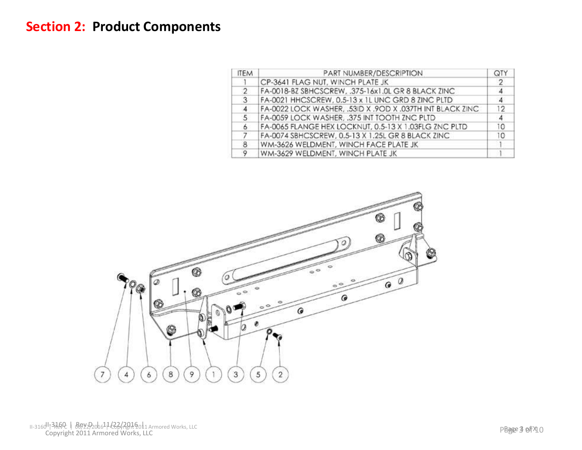#### **Section 2: Product Components**

| <b>ITEM</b> | PART NUMBER/DESCRIPTION                                   | QT. |
|-------------|-----------------------------------------------------------|-----|
|             | CP-3641 FLAG NUT, WINCH PLATE JK                          | -2  |
| 2           | FA-0018-BZ SBHCSCREW, .375-16x1.0L GR 8 BLACK ZINC        |     |
| 3           | FA-0021 HHCSCREW, 0.5-13 x 1L UNC GRD 8 ZINC PLTD         |     |
|             | FA-0022 LOCK WASHER, .53ID X .9OD X .037TH INT BLACK ZINC | 12  |
| 5.          | FA-0059 LOCK WASHER, .375 INT TOOTH ZNC PLTD              |     |
| 6           | FA-0065 FLANGE HEX LOCKNUT, 0.5-13 X 1.03FLG ZNC PLTD     | 10  |
|             | FA-0074 SBHCSCREW, 0.5-13 X 1.25L GR 8 BLACK ZINC         | 10  |
| 8           | WM-3626 WELDMENT, WINCH FACE PLATE JK                     |     |
|             | WM-3629 WELDMENT, WINCH PLATE JK                          |     |



II-3160<sup>|</sup>|73160 | Rey2920h6<sup>1</sup>1/222/2016 | 1 Armored Works, LLC<br>Copyright 2011 Armored Works, LLC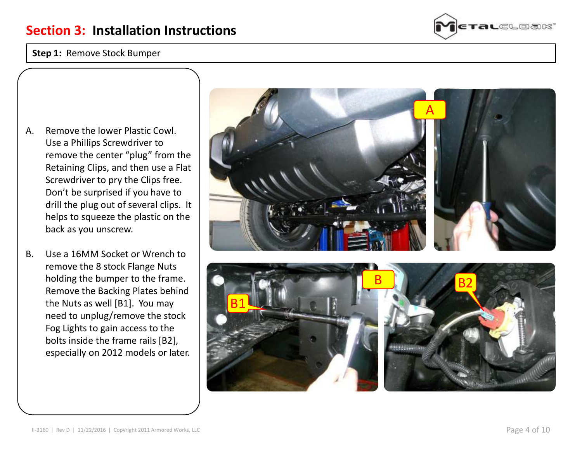#### **Step 1:** Remove Stock Bumper



- A. Remove the lower Plastic Cowl. Use a Phillips Screwdriver to remove the center "plug" from the Retaining Clips, and then use a Flat Screwdriver to pry the Clips free. Don't be surprised if you have to drill the plug out of several clips. It helps to squeeze the plastic on the back as you unscrew.
- B. Use a 16MM Socket or Wrench to remove the 8 stock Flange Nuts holding the bumper to the frame. Remove the Backing Plates behind the Nuts as well [B1]. You may need to unplug/remove the stock Fog Lights to gain access to the bolts inside the frame rails [B2], especially on 2012 models or later.



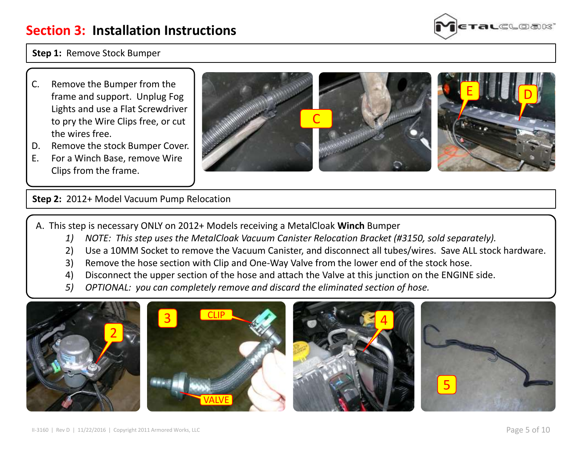

**Step 1:** Remove Stock Bumper

- C. Remove the Bumper from the frame and support. Unplug Fog Lights and use a Flat Screwdriver to pry the Wire Clips free, or cut the wires free.
- D. Remove the stock Bumper Cover.
- E. For a Winch Base, remove Wire Clips from the frame.



**Step 2:** 2012+ Model Vacuum Pump Relocation

A. This step is necessary ONLY on 2012+ Models receiving a MetalCloak **Winch** Bumper

- *1) NOTE: This step uses the MetalCloak Vacuum Canister Relocation Bracket (#3150, sold separately).*
- 2) Use a 10MM Socket to remove the Vacuum Canister, and disconnect all tubes/wires. Save ALL stock hardware.
- 3) Remove the hose section with Clip and One-Way Valve from the lower end of the stock hose.
- 4) Disconnect the upper section of the hose and attach the Valve at this junction on the ENGINE side.
- *5) OPTIONAL: you can completely remove and discard the eliminated section of hose.*

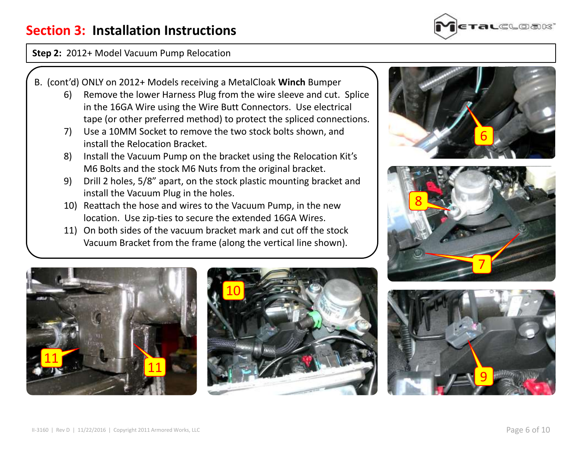

#### **Step 2:** 2012+ Model Vacuum Pump Relocation

- B. (cont'd) ONLY on 2012+ Models receiving a MetalCloak **Winch** Bumper
	- 6) Remove the lower Harness Plug from the wire sleeve and cut. Splice in the 16GA Wire using the Wire Butt Connectors. Use electrical tape (or other preferred method) to protect the spliced connections.
	- 7) Use a 10MM Socket to remove the two stock bolts shown, and install the Relocation Bracket.
	- 8) Install the Vacuum Pump on the bracket using the Relocation Kit's M6 Bolts and the stock M6 Nuts from the original bracket.
	- 9) Drill 2 holes, 5/8" apart, on the stock plastic mounting bracket and install the Vacuum Plug in the holes.
	- 10) Reattach the hose and wires to the Vacuum Pump, in the new location. Use zip-ties to secure the extended 16GA Wires.
	- 11) On both sides of the vacuum bracket mark and cut off the stock Vacuum Bracket from the frame (along the vertical line shown).









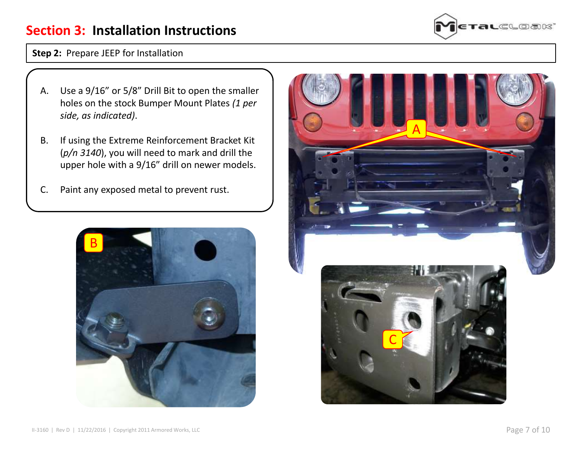

**Step 2:** Prepare JEEP for Installation

- A. Use a 9/16" or 5/8" Drill Bit to open the smaller holes on the stock Bumper Mount Plates *(1 per side, as indicated)*.
- B. If using the Extreme Reinforcement Bracket Kit (*p/n 3140*), you will need to mark and drill the upper hole with a 9/16" drill on newer models.
- C. Paint any exposed metal to prevent rust.



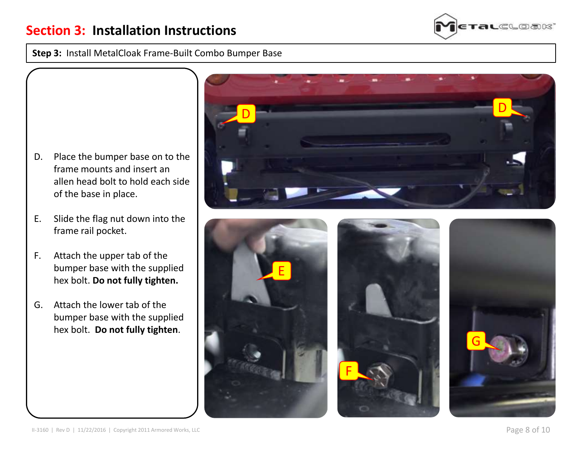**Step 3:** Install MetalCloak Frame-Built Combo Bumper Base

- D. Place the bumper base on to the frame mounts and insert an allen head bolt to hold each side of the base in place.
- E. Slide the flag nut down into the frame rail pocket.
- F. Attach the upper tab of the bumper base with the supplied hex bolt. **Do not fully tighten.**
- G. Attach the lower tab of the bumper base with the supplied hex bolt. **Do not fully tighten**.





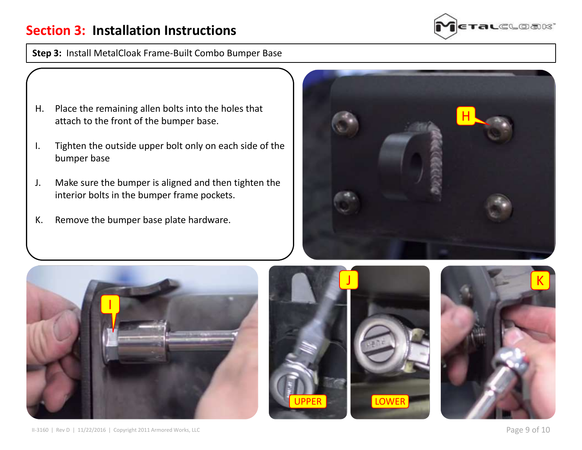

**Step 3:** Install MetalCloak Frame-Built Combo Bumper Base

- H. Place the remaining allen bolts into the holes that attach to the front of the bumper base.
- I. Tighten the outside upper bolt only on each side of the bumper base
- J. Make sure the bumper is aligned and then tighten the interior bolts in the bumper frame pockets.
- K. Remove the bumper base plate hardware.